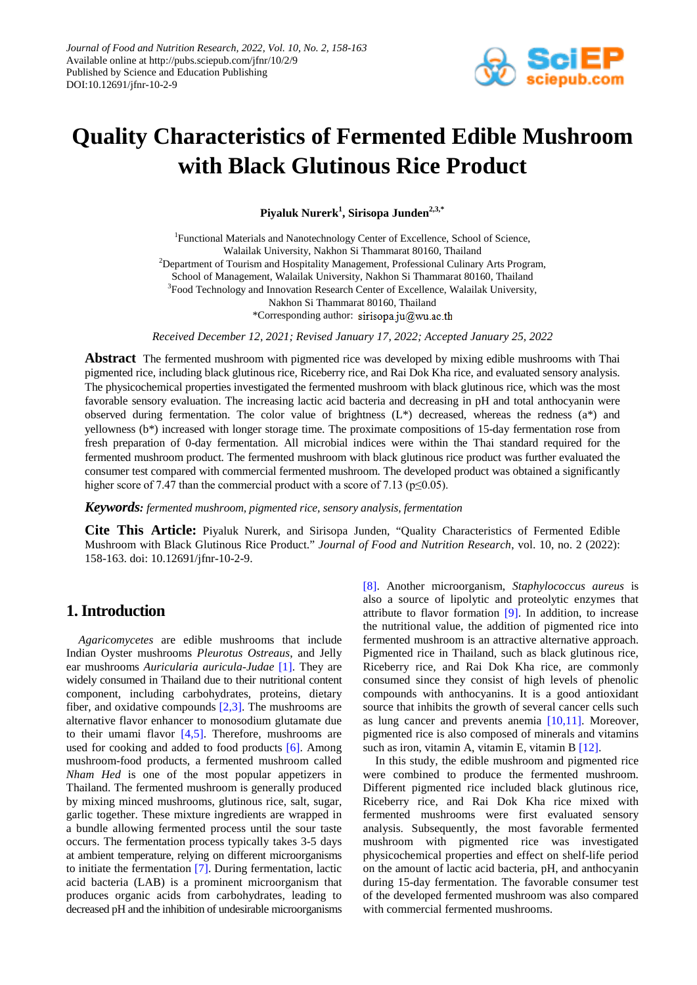

# **Quality Characteristics of Fermented Edible Mushroom with Black Glutinous Rice Product**

**Piyaluk Nurerk1 , Sirisopa Junden2,3,\***

<sup>1</sup>Functional Materials and Nanotechnology Center of Excellence, School of Science, Walailak University, Nakhon Si Thammarat 80160, Thailand <sup>2</sup>Department of Tourism and Hospitality Management, Professional Culinary Arts Program, School of Management, Walailak University, Nakhon Si Thammarat 80160, Thailand <sup>3</sup>Food Technology and Innovation Research Center of Excellence, Walailak University, Nakhon Si Thammarat 80160, Thailand \*Corresponding author: sirisopa.ju@wu.ac.th

*Received December 12, 2021; Revised January 17, 2022; Accepted January 25, 2022*

**Abstract** The fermented mushroom with pigmented rice was developed by mixing edible mushrooms with Thai pigmented rice, including black glutinous rice, Riceberry rice, and Rai Dok Kha rice, and evaluated sensory analysis. The physicochemical properties investigated the fermented mushroom with black glutinous rice, which was the most favorable sensory evaluation. The increasing lactic acid bacteria and decreasing in pH and total anthocyanin were observed during fermentation. The color value of brightness (L\*) decreased, whereas the redness (a\*) and yellowness (b\*) increased with longer storage time. The proximate compositions of 15-day fermentation rose from fresh preparation of 0-day fermentation. All microbial indices were within the Thai standard required for the fermented mushroom product. The fermented mushroom with black glutinous rice product was further evaluated the consumer test compared with commercial fermented mushroom. The developed product was obtained a significantly higher score of 7.47 than the commercial product with a score of 7.13 ( $p \le 0.05$ ).

*Keywords: fermented mushroom, pigmented rice, sensory analysis, fermentation*

**Cite This Article:** Piyaluk Nurerk, and Sirisopa Junden, "Quality Characteristics of Fermented Edible Mushroom with Black Glutinous Rice Product." *Journal of Food and Nutrition Research*, vol. 10, no. 2 (2022): 158-163. doi: 10.12691/jfnr-10-2-9.

# **1. Introduction**

*Agaricomycetes* are edible mushrooms that include Indian Oyster mushrooms *Pleurotus Ostreaus*, and Jelly ear mushrooms *Auricularia auricula-Judae* [\[1\].](#page-4-0) They are widely consumed in Thailand due to their nutritional content component, including carbohydrates, proteins, dietary fiber, and oxidative compounds [\[2,3\].](#page-4-1) The mushrooms are alternative flavor enhancer to monosodium glutamate due to their umami flavor [\[4,5\].](#page-5-0) Therefore, mushrooms are used for cooking and added to food products [\[6\].](#page-5-1) Among mushroom-food products, a fermented mushroom called *Nham Hed* is one of the most popular appetizers in Thailand. The fermented mushroom is generally produced by mixing minced mushrooms, glutinous rice, salt, sugar, garlic together. These mixture ingredients are wrapped in a bundle allowing fermented process until the sour taste occurs. The fermentation process typically takes 3-5 days at ambient temperature, relying on different microorganisms to initiate the fermentation [\[7\].](#page-5-2) During fermentation, lactic acid bacteria (LAB) is a prominent microorganism that produces organic acids from carbohydrates, leading to decreased pH and the inhibition of undesirable microorganisms

[\[8\].](#page-5-3) Another microorganism, *Staphylococcus aureus* is also a source of lipolytic and proteolytic enzymes that attribute to flavor formation  $[9]$ . In addition, to increase the nutritional value, the addition of pigmented rice into fermented mushroom is an attractive alternative approach. Pigmented rice in Thailand, such as black glutinous rice, Riceberry rice, and Rai Dok Kha rice, are commonly consumed since they consist of high levels of phenolic compounds with anthocyanins. It is a good antioxidant source that inhibits the growth of several cancer cells such as lung cancer and prevents anemia [\[10,11\].](#page-5-5) Moreover, pigmented rice is also composed of minerals and vitamins such as iron, vitamin A, vitamin E, vitamin B [12].

In this study, the edible mushroom and pigmented rice were combined to produce the fermented mushroom. Different pigmented rice included black glutinous rice, Riceberry rice, and Rai Dok Kha rice mixed with fermented mushrooms were first evaluated sensory analysis. Subsequently, the most favorable fermented mushroom with pigmented rice was investigated physicochemical properties and effect on shelf-life period on the amount of lactic acid bacteria, pH, and anthocyanin during 15-day fermentation. The favorable consumer test of the developed fermented mushroom was also compared with commercial fermented mushrooms.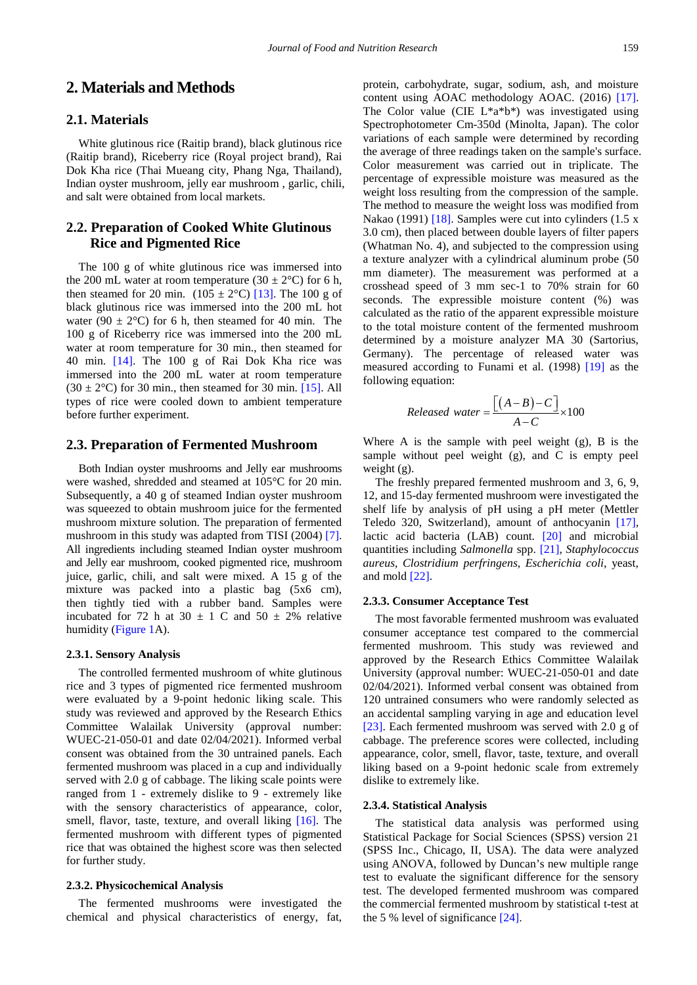# **2. Materials and Methods**

## **2.1. Materials**

White glutinous rice (Raitip brand), black glutinous rice (Raitip brand), Riceberry rice (Royal project brand), Rai Dok Kha rice (Thai Mueang city, Phang Nga, Thailand), Indian oyster mushroom, jelly ear mushroom , garlic, chili, and salt were obtained from local markets.

## **2.2. Preparation of Cooked White Glutinous Rice and Pigmented Rice**

The 100 g of white glutinous rice was immersed into the 200 mL water at room temperature  $(30 \pm 2^{\circ}C)$  for 6 h, then steamed for 20 min.  $(105 \pm 2^{\circ}\text{C})$  [\[13\].](#page-5-7) The 100 g of black glutinous rice was immersed into the 200 mL hot water (90  $\pm$  2°C) for 6 h, then steamed for 40 min. The 100 g of Riceberry rice was immersed into the 200 mL water at room temperature for 30 min., then steamed for 40 min. [\[14\].](#page-5-8) The 100 g of Rai Dok Kha rice was immersed into the 200 mL water at room temperature  $(30 \pm 2^{\circ}C)$  for 30 min., then steamed for 30 min. [\[15\].](#page-5-9) All types of rice were cooled down to ambient temperature before further experiment.

## **2.3. Preparation of Fermented Mushroom**

Both Indian oyster mushrooms and Jelly ear mushrooms were washed, shredded and steamed at 105°C for 20 min. Subsequently, a 40 g of steamed Indian oyster mushroom was squeezed to obtain mushroom juice for the fermented mushroom mixture solution. The preparation of fermented mushroom in this study was adapted from TISI (2004) [\[7\].](#page-5-2) All ingredients including steamed Indian oyster mushroom and Jelly ear mushroom, cooked pigmented rice, mushroom juice, garlic, chili, and salt were mixed. A 15 g of the mixture was packed into a plastic bag (5x6 cm), then tightly tied with a rubber band. Samples were incubated for 72 h at 30  $\pm$  1 C and 50  $\pm$  2% relative humidity [\(Figure 1A](#page-2-0)).

#### **2.3.1. Sensory Analysis**

The controlled fermented mushroom of white glutinous rice and 3 types of pigmented rice fermented mushroom were evaluated by a 9-point hedonic liking scale. This study was reviewed and approved by the Research Ethics Committee Walailak University (approval number: WUEC-21-050-01 and date 02/04/2021). Informed verbal consent was obtained from the 30 untrained panels. Each fermented mushroom was placed in a cup and individually served with 2.0 g of cabbage. The liking scale points were ranged from 1 - extremely dislike to 9 - extremely like with the sensory characteristics of appearance, color, smell, flavor, taste, texture, and overall liking [\[16\].](#page-5-10) The fermented mushroom with different types of pigmented rice that was obtained the highest score was then selected for further study.

#### **2.3.2. Physicochemical Analysis**

The fermented mushrooms were investigated the chemical and physical characteristics of energy, fat, protein, carbohydrate, sugar, sodium, ash, and moisture content using AOAC methodology AOAC. (2016) [\[17\].](#page-5-11) The Color value (CIE  $L^*a^*b^*$ ) was investigated using Spectrophotometer Cm-350d (Minolta, Japan). The color variations of each sample were determined by recording the average of three readings taken on the sample's surface. Color measurement was carried out in triplicate. The percentage of expressible moisture was measured as the weight loss resulting from the compression of the sample. The method to measure the weight loss was modified from Nakao (1991) [\[18\].](#page-5-12) Samples were cut into cylinders (1.5 x 3.0 cm), then placed between double layers of filter papers (Whatman No. 4), and subjected to the compression using a texture analyzer with a cylindrical aluminum probe (50 mm diameter). The measurement was performed at a crosshead speed of 3 mm sec-1 to 70% strain for 60 seconds. The expressible moisture content (%) was calculated as the ratio of the apparent expressible moisture to the total moisture content of the fermented mushroom determined by a moisture analyzer MA 30 (Sartorius, Germany). The percentage of released water was measured according to Funami et al. (1998) [\[19\]](#page-5-13) as the

$$
Released\ water = \frac{[(A-B)-C]}{A-C} \times 100
$$

Where A is the sample with peel weight (g), B is the sample without peel weight (g), and C is empty peel weight (g).

The freshly prepared fermented mushroom and 3, 6, 9, 12, and 15-day fermented mushroom were investigated the shelf life by analysis of pH using a pH meter (Mettler Teledo 320, Switzerland), amount of anthocyanin [\[17\],](#page-5-11) lactic acid bacteria (LAB) count. [\[20\]](#page-5-14) and microbial quantities including *Salmonella* spp. [\[21\],](#page-5-15) *Staphylococcus aureus*, *Clostridium perfringens*, *Escherichia coli*, yeast, and mold [\[22\].](#page-5-16)

#### **2.3.3. Consumer Acceptance Test**

following equation:

The most favorable fermented mushroom was evaluated consumer acceptance test compared to the commercial fermented mushroom. This study was reviewed and approved by the Research Ethics Committee Walailak University (approval number: WUEC-21-050-01 and date 02/04/2021). Informed verbal consent was obtained from 120 untrained consumers who were randomly selected as an accidental sampling varying in age and education level [\[23\].](#page-5-17) Each fermented mushroom was served with 2.0 g of cabbage. The preference scores were collected, including appearance, color, smell, flavor, taste, texture, and overall liking based on a 9-point hedonic scale from extremely dislike to extremely like.

#### **2.3.4. Statistical Analysis**

The statistical data analysis was performed using Statistical Package for Social Sciences (SPSS) version 21 (SPSS Inc., Chicago, II, USA). The data were analyzed using ANOVA, followed by Duncan's new multiple range test to evaluate the significant difference for the sensory test. The developed fermented mushroom was compared the commercial fermented mushroom by statistical t-test at the 5 % level of significance [\[24\].](#page-5-18)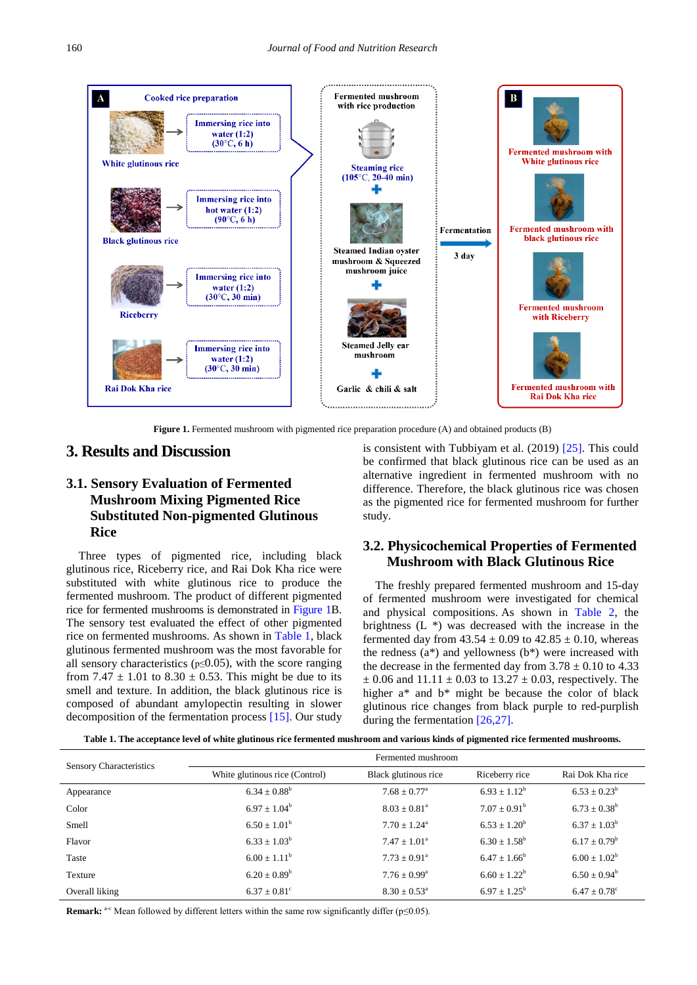<span id="page-2-0"></span>

**Figure 1.** Fermented mushroom with pigmented rice preparation procedure (A) and obtained products (B)

## **3. Results and Discussion**

# **3.1. Sensory Evaluation of Fermented Mushroom Mixing Pigmented Rice Substituted Non-pigmented Glutinous Rice**

Three types of pigmented rice, including black glutinous rice, Riceberry rice, and Rai Dok Kha rice were substituted with white glutinous rice to produce the fermented mushroom. The product of different pigmented rice for fermented mushrooms is demonstrated in [Figure 1B](#page-2-0). The sensory test evaluated the effect of other pigmented rice on fermented mushrooms. As shown in [Table 1,](#page-2-1) black glutinous fermented mushroom was the most favorable for all sensory characteristics ( $p \le 0.05$ ), with the score ranging from 7.47  $\pm$  1.01 to 8.30  $\pm$  0.53. This might be due to its smell and texture. In addition, the black glutinous rice is composed of abundant amylopectin resulting in slower decomposition of the fermentation process [\[15\].](#page-5-9) Our study

is consistent with Tubbiyam et al. (2019) [\[25\].](#page-5-19) This could be confirmed that black glutinous rice can be used as an alternative ingredient in fermented mushroom with no difference. Therefore, the black glutinous rice was chosen as the pigmented rice for fermented mushroom for further study.

## **3.2. Physicochemical Properties of Fermented Mushroom with Black Glutinous Rice**

The freshly prepared fermented mushroom and 15-day of fermented mushroom were investigated for chemical and physical compositions. As shown in [Table 2,](#page-3-0) the brightness (L \*) was decreased with the increase in the fermented day from  $43.54 \pm 0.09$  to  $42.85 \pm 0.10$ , whereas the redness  $(a^*)$  and yellowness  $(b^*)$  were increased with the decrease in the fermented day from  $3.78 \pm 0.10$  to 4.33  $\pm$  0.06 and 11.11  $\pm$  0.03 to 13.27  $\pm$  0.03, respectively. The higher a\* and b\* might be because the color of black glutinous rice changes from black purple to red-purplish during the fermentation [\[26,27\].](#page-5-20)

**Table 1. The acceptance level of white glutinous rice fermented mushroom and various kinds of pigmented rice fermented mushrooms.**

<span id="page-2-1"></span>

| Sensory Characteristics | Fermented mushroom             |                            |                         |                              |  |  |
|-------------------------|--------------------------------|----------------------------|-------------------------|------------------------------|--|--|
|                         | White glutinous rice (Control) | Black glutinous rice       | Riceberry rice          | Rai Dok Kha rice             |  |  |
| Appearance              | $6.34 \pm 0.88^b$              | $7.68 \pm 0.77^{\rm a}$    | $6.93 \pm 1.12^b$       | $6.53 \pm 0.23^b$            |  |  |
| Color                   | $6.97 \pm 1.04^b$              | $8.03 \pm 0.81^{\circ}$    | $7.07 \pm 0.91^{\rm b}$ | $6.73 \pm 0.38^b$            |  |  |
| Smell                   | $6.50 \pm 1.01^b$              | $7.70 + 1.24$ <sup>a</sup> | $6.53 + 1.20^b$         | $6.37 \pm 1.03^b$            |  |  |
| Flavor                  | $6.33 \pm 1.03^b$              | $7.47 \pm 1.01^{\circ}$    | $6.30 \pm 1.58^{\rm b}$ | $6.17 \pm 0.79^b$            |  |  |
| Taste                   | $6.00 + 1.11^b$                | $7.73 \pm 0.91^{\circ}$    | $6.47 + 1.66^b$         | $6.00 \pm 1.02^b$            |  |  |
| Texture                 | $6.20 \pm 0.89^b$              | $7.76 \pm 0.99^{\rm a}$    | $6.60 \pm 1.22^b$       | $6.50 \pm 0.94^b$            |  |  |
| Overall liking          | $6.37 \pm 0.81^{\circ}$        | $8.30 \pm 0.53^{\circ}$    | $6.97 \pm 1.25^{\rm b}$ | $6.47 \pm 0.78$ <sup>c</sup> |  |  |

**Remark:** <sup>a-c</sup> Mean followed by different letters within the same row significantly differ (p≤0.05).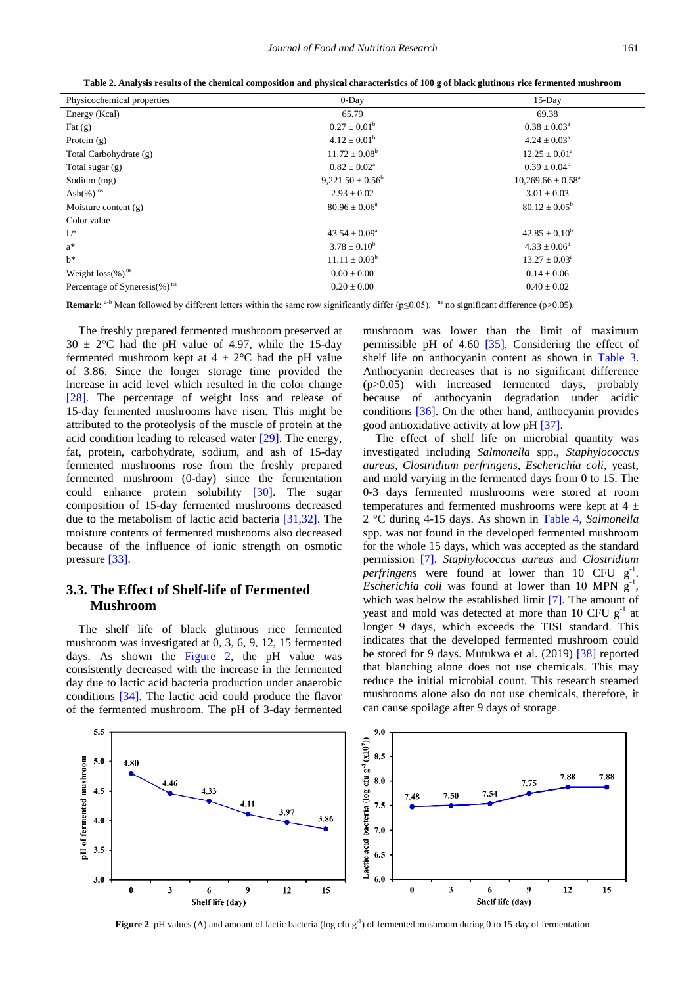| Table 2. Analysis results of the chemical composition and physical characteristics of 100 g of black glutinous rice fermented mushroom |  |  |  |
|----------------------------------------------------------------------------------------------------------------------------------------|--|--|--|
|                                                                                                                                        |  |  |  |

<span id="page-3-0"></span>

| Physicochemical properties               | $0$ -Day                 | 15-Day                       |
|------------------------------------------|--------------------------|------------------------------|
| Energy (Kcal)                            | 65.79                    | 69.38                        |
| Fat $(g)$                                | $0.27 \pm 0.01^b$        | $0.38 \pm 0.03^{\rm a}$      |
| Protein $(g)$                            | $4.12 \pm 0.01^b$        | $4.24 \pm 0.03^{\text{a}}$   |
| Total Carbohydrate (g)                   | $11.72 \pm 0.08^b$       | $12.25 \pm 0.01^{\circ}$     |
| Total sugar $(g)$                        | $0.82 \pm 0.02^a$        | $0.39 \pm 0.04^b$            |
| Sodium (mg)                              | $9,221.50 \pm 0.56^b$    | $10,269.66 \pm 0.58^{\circ}$ |
| Ash $(\%)$ <sup>ns</sup>                 | $2.93 \pm 0.02$          | $3.01 \pm 0.03$              |
| Moisture content $(g)$                   | $80.96 \pm 0.06^{\circ}$ | $80.12 \pm 0.05^{\rm b}$     |
| Color value                              |                          |                              |
| $L^*$                                    | $43.54 \pm 0.09^{\circ}$ | $42.85 \pm 0.10^b$           |
| $a^*$                                    | $3.78 \pm 0.10^b$        | $4.33 \pm 0.06^{\circ}$      |
| $h^*$                                    | $11.11 \pm 0.03^b$       | $13.27 \pm 0.03^{\circ}$     |
| Weight $loss(\%)^{ns}$                   | $0.00 \pm 0.00$          | $0.14 \pm 0.06$              |
| Percentage of Syneresis(%) <sup>ns</sup> | $0.20 \pm 0.00$          | $0.40 \pm 0.02$              |

**Remark:** a-b Mean followed by different letters within the same row significantly differ ( $p≤0.05$ ). <sup>ns</sup> no significant difference ( $p>0.05$ ).

The freshly prepared fermented mushroom preserved at  $30 \pm 2$ °C had the pH value of 4.97, while the 15-day fermented mushroom kept at  $4 \pm 2$ °C had the pH value of 3.86. Since the longer storage time provided the increase in acid level which resulted in the color change [\[28\].](#page-5-21) The percentage of weight loss and release of 15-day fermented mushrooms have risen. This might be attributed to the proteolysis of the muscle of protein at the acid condition leading to released water [\[29\].](#page-5-22) The energy, fat, protein, carbohydrate, sodium, and ash of 15-day fermented mushrooms rose from the freshly prepared fermented mushroom (0-day) since the fermentation could enhance protein solubility [\[30\].](#page-5-23) The sugar composition of 15-day fermented mushrooms decreased due to the metabolism of lactic acid bacteria [\[31,32\].](#page-5-24) The moisture contents of fermented mushrooms also decreased because of the influence of ionic strength on osmotic pressure [\[33\].](#page-5-25)

## **3.3. The Effect of Shelf-life of Fermented Mushroom**

The shelf life of black glutinous rice fermented mushroom was investigated at 0, 3, 6, 9, 12, 15 fermented days. As shown the [Figure 2,](#page-3-1) the pH value was consistently decreased with the increase in the fermented day due to lactic acid bacteria production under anaerobic conditions [\[34\].](#page-5-26) The lactic acid could produce the flavor of the fermented mushroom. The pH of 3-day fermented mushroom was lower than the limit of maximum permissible pH of 4.60 [\[35\].](#page-5-27) Considering the effect of shelf life on anthocyanin content as shown in [Table 3.](#page-4-2) Anthocyanin decreases that is no significant difference (p>0.05) with increased fermented days, probably because of anthocyanin degradation under acidic conditions [\[36\].](#page-5-28) On the other hand, anthocyanin provides good antioxidative activity at low pH [\[37\].](#page-5-29)

The effect of shelf life on microbial quantity was investigated including *Salmonella* spp., *Staphylococcus aureus, Clostridium perfringens, Escherichia coli,* yeast, and mold varying in the fermented days from 0 to 15. The 0-3 days fermented mushrooms were stored at room temperatures and fermented mushrooms were kept at  $4 \pm$ 2 °C during 4-15 days. As shown in [Table 4,](#page-4-3) *Salmonella* spp. was not found in the developed fermented mushroom for the whole 15 days, which was accepted as the standard permission [\[7\].](#page-5-2) *Staphylococcus aureus* and *Clostridium perfringens* were found at lower than 10 CFU g-1 . *Escherichia coli* was found at lower than 10 MPN g , which was below the established limit [\[7\].](#page-5-2) The amount of yeast and mold was detected at more than 10 CFU  $g^{-1}$  at longer 9 days, which exceeds the TISI standard. This indicates that the developed fermented mushroom could be stored for 9 days. Mutukwa et al. (2019) [\[38\]](#page-5-30) reported that blanching alone does not use chemicals. This may reduce the initial microbial count. This research steamed mushrooms alone also do not use chemicals, therefore, it can cause spoilage after 9 days of storage.

<span id="page-3-1"></span>

**Figure 2**. pH values (A) and amount of lactic bacteria (log cfu g<sup>-1</sup>) of fermented mushroom during 0 to 15-day of fermentation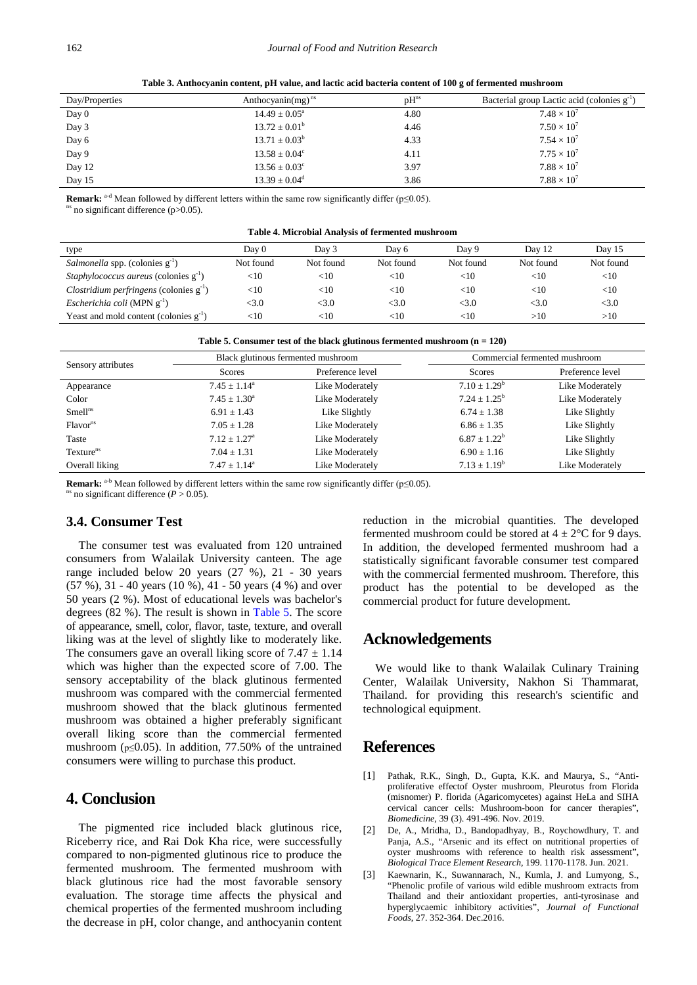<span id="page-4-2"></span>

| Day/Properties | Anthocyanin $(mg)^{ns}$     | $pH^{ns}$ | Bacterial group Lactic acid (colonies g <sup>-1</sup> ) |
|----------------|-----------------------------|-----------|---------------------------------------------------------|
| Day 0          | $14.49 \pm 0.05^{\circ}$    | 4.80      | $7.48 \times 10^{7}$                                    |
| Day 3          | $13.72 \pm 0.01^b$          | 4.46      | $7.50 \times 10^{7}$                                    |
| Day 6          | $13.71 \pm 0.03^b$          | 4.33      | $7.54 \times 10^{7}$                                    |
| Day 9          | $13.58 \pm 0.04^{\circ}$    | 4.11      | $7.75 \times 10^{7}$                                    |
| Day 12         | $13.56 \pm 0.03^{\circ}$    | 3.97      | $7.88 \times 10^{7}$                                    |
| Day 15         | $13.39 \pm 0.04^{\text{d}}$ | 3.86      | $7.88 \times 10^{7}$                                    |

**Table 3. Anthocyanin content, pH value, and lactic acid bacteria content of 100 g of fermented mushroom**

**Remark:** <sup>a-d</sup> Mean followed by different letters within the same row significantly differ (p≤0.05).

 $s$  no significant difference (p $>0.05$ ).

| Table 4. Microbial Analysis of fermented mushroom |  |  |
|---------------------------------------------------|--|--|
|---------------------------------------------------|--|--|

<span id="page-4-3"></span>

| type                                                | Day 0     | Day 3     | Dav 6     | Dav 9     | Day 12    | Day 15    |
|-----------------------------------------------------|-----------|-----------|-----------|-----------|-----------|-----------|
| <i>Salmonella</i> spp. (colonies $g^{-1}$ )         | Not found | Not found | Not found | Not found | Not found | Not found |
| <i>Staphylococcus aureus</i> (colonies $g^{-1}$ )   | $<$ 10    | $<$ 10    | $<$ 10    | $<$ 10    | $<$ 10    | $<$ 10    |
| <i>Clostridium perfringens</i> (colonies $g^{-1}$ ) | $<$ 10    | $<$ 10    | $<$ 10    | $<$ 10    | $<$ 10    | $<$ 10    |
| <i>Escherichia coli</i> (MPN $g^{-1}$ )             | $<$ 3.0   | <3.0      | <3.0      | <3.0      | <3.0      | <3.0      |
| Yeast and mold content (colonies $g^{-1}$ )         | $<$ 10    | $<$ 10    | $<$ 10    | $<$ 10    | >10       | >10       |

| Table 5. Consumer test of the black glutinous fermented mushroom $(n = 120)$ |  |  |  |
|------------------------------------------------------------------------------|--|--|--|
|------------------------------------------------------------------------------|--|--|--|

<span id="page-4-4"></span>

|                       |                          | Black glutinous fermented mushroom |                   | Commercial fermented mushroom |  |  |
|-----------------------|--------------------------|------------------------------------|-------------------|-------------------------------|--|--|
| Sensory attributes    | Scores                   | Preference level                   | Scores            | Preference level              |  |  |
| Appearance            | $7.45 \pm 1.14^{\circ}$  | Like Moderately                    | $7.10 \pm 1.29^b$ | Like Moderately               |  |  |
| Color                 | $7.45 \pm 1.30^a$        | Like Moderately                    | $7.24 + 1.25^b$   | Like Moderately               |  |  |
| Smell <sup>ns</sup>   | $6.91 \pm 1.43$          | Like Slightly                      | $6.74 \pm 1.38$   | Like Slightly                 |  |  |
| Flavor <sup>ns</sup>  | $7.05 + 1.28$            | Like Moderately                    | $6.86 \pm 1.35$   | Like Slightly                 |  |  |
| Taste                 | $7.12 + 1.27^{\text{a}}$ | Like Moderately                    | $6.87 + 1.22^b$   | Like Slightly                 |  |  |
| Texture <sup>ns</sup> | $7.04 \pm 1.31$          | Like Moderately                    | $6.90 \pm 1.16$   | Like Slightly                 |  |  |
| Overall liking        | $7.47 \pm 1.14^{\circ}$  | Like Moderately                    | $7.13 \pm 1.19^b$ | Like Moderately               |  |  |

**Remark:** <sup>a-b</sup> Mean followed by different letters within the same row significantly differ ( $p \le 0.05$ ). <sup>ns</sup> no significant difference (*P* > 0.05).

### **3.4. Consumer Test**

The consumer test was evaluated from 120 untrained consumers from Walailak University canteen. The age range included below 20 years (27 %), 21 - 30 years (57 %), 31 - 40 years (10 %), 41 - 50 years (4 %) and over 50 years (2 %). Most of educational levels was bachelor's degrees (82 %). The result is shown in [Table 5.](#page-4-4) The score of appearance, smell, color, flavor, taste, texture, and overall liking was at the level of slightly like to moderately like. The consumers gave an overall liking score of  $7.47 \pm 1.14$ which was higher than the expected score of 7.00. The sensory acceptability of the black glutinous fermented mushroom was compared with the commercial fermented mushroom showed that the black glutinous fermented mushroom was obtained a higher preferably significant overall liking score than the commercial fermented mushroom ( $p \le 0.05$ ). In addition, 77.50% of the untrained consumers were willing to purchase this product.

## **4. Conclusion**

The pigmented rice included black glutinous rice, Riceberry rice, and Rai Dok Kha rice, were successfully compared to non-pigmented glutinous rice to produce the fermented mushroom. The fermented mushroom with black glutinous rice had the most favorable sensory evaluation. The storage time affects the physical and chemical properties of the fermented mushroom including the decrease in pH, color change, and anthocyanin content reduction in the microbial quantities. The developed fermented mushroom could be stored at  $4 \pm 2^{\circ}$ C for 9 days. In addition, the developed fermented mushroom had a statistically significant favorable consumer test compared with the commercial fermented mushroom. Therefore, this product has the potential to be developed as the commercial product for future development.

## **Acknowledgements**

We would like to thank Walailak Culinary Training Center, Walailak University, Nakhon Si Thammarat, Thailand. for providing this research's scientific and technological equipment.

## **References**

- <span id="page-4-0"></span>[1] Pathak, R.K., Singh, D., Gupta, K.K. and Maurya, S., "Antiproliferative effectof Oyster mushroom, Pleurotus from Florida (misnomer) P. florida (Agaricomycetes) against HeLa and SIHA cervical cancer cells: Mushroom-boon for cancer therapies", *Biomedicine*, 39 (3). 491-496. Nov. 2019.
- <span id="page-4-1"></span>[2] De, A., Mridha, D., Bandopadhyay, B., Roychowdhury, T. and Pania, A.S., "Arsenic and its effect on nutritional properties of oyster mushrooms with reference to health risk assessment", *Biological Trace Element Research*, 199. 1170-1178. Jun. 2021.
- [3] Kaewnarin, K., Suwannarach, N., Kumla, J. and Lumyong, S., "Phenolic profile of various wild edible mushroom extracts from Thailand and their antioxidant properties, anti-tyrosinase and hyperglycaemic inhibitory activities", *Journal of Functional Foods*, 27. 352-364. Dec.2016.